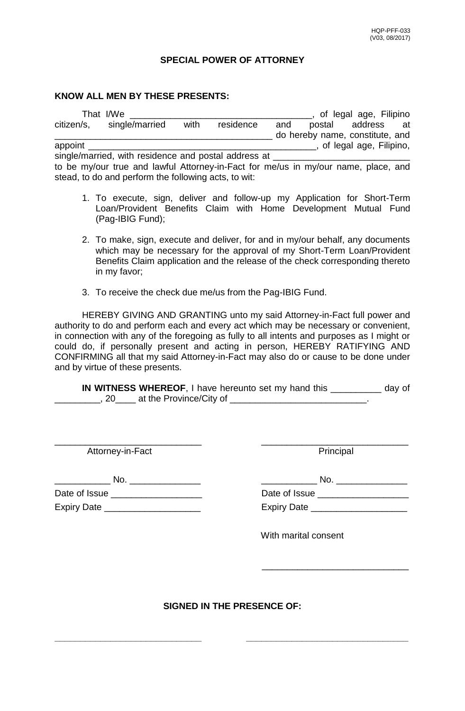## **SPECIAL POWER OF ATTORNEY**

## **KNOW ALL MEN BY THESE PRESENTS:**

That I/We \_\_\_\_\_\_\_\_\_\_\_\_\_\_\_\_\_\_\_\_\_\_\_\_\_\_\_\_\_\_\_\_\_\_\_\_, of legal age, Filipino citizen/s, single/married with residence and postal address at \_\_\_\_\_\_\_\_\_\_\_\_\_\_\_\_\_\_\_\_\_\_\_\_\_\_\_\_ do hereby name, constitute, and appoint \_\_\_\_\_\_\_\_\_\_\_\_\_\_\_\_\_\_\_\_\_\_\_\_\_\_\_\_\_\_\_\_\_\_\_\_\_\_\_\_\_\_\_\_\_, of legal age, Filipino, single/married, with residence and postal address at \_\_\_\_\_\_\_\_\_\_\_\_\_\_\_\_\_\_\_\_\_\_\_\_\_\_\_ to be my/our true and lawful Attorney-in-Fact for me/us in my/our name, place, and stead, to do and perform the following acts, to wit:

- 1. To execute, sign, deliver and follow-up my Application for Short-Term Loan/Provident Benefits Claim with Home Development Mutual Fund (Pag-IBIG Fund);
- 2. To make, sign, execute and deliver, for and in my/our behalf, any documents which may be necessary for the approval of my Short-Term Loan/Provident Benefits Claim application and the release of the check corresponding thereto in my favor;
- 3. To receive the check due me/us from the Pag-IBIG Fund.

HEREBY GIVING AND GRANTING unto my said Attorney-in-Fact full power and authority to do and perform each and every act which may be necessary or convenient, in connection with any of the foregoing as fully to all intents and purposes as I might or could do, if personally present and acting in person, HEREBY RATIFYING AND CONFIRMING all that my said Attorney-in-Fact may also do or cause to be done under and by virtue of these presents.

**IN WITNESS WHEREOF, I** have hereunto set my hand this day of \_\_\_\_\_\_\_\_\_, 20\_\_\_\_ at the Province/City of \_\_\_\_\_\_\_\_\_\_\_\_\_\_\_\_\_\_\_\_\_\_\_\_\_\_\_.

\_\_\_\_\_\_\_\_\_\_\_\_\_\_\_\_\_\_\_\_\_\_\_\_\_\_\_\_\_ \_\_\_\_\_\_\_\_\_\_\_\_\_\_\_\_\_\_\_\_\_\_\_\_\_\_\_\_\_

Attorney-in-Fact **Principal** 

\_\_\_\_\_\_\_\_\_\_\_ No. \_\_\_\_\_\_\_\_\_\_\_\_\_\_ \_\_\_\_\_\_\_\_\_\_\_ No. \_\_\_\_\_\_\_\_\_\_\_\_\_\_

Date of Issue \_\_\_\_\_\_\_\_\_\_\_\_\_\_\_\_\_\_ Date of Issue \_\_\_\_\_\_\_\_\_\_\_\_\_\_\_\_\_\_ Expiry Date \_\_\_\_\_\_\_\_\_\_\_\_\_\_\_\_\_\_\_ Expiry Date \_\_\_\_\_\_\_\_\_\_\_\_\_\_\_\_\_\_\_

| Date of Issue      |  |
|--------------------|--|
| <b>Expiry Date</b> |  |

With marital consent

 $\frac{1}{\sqrt{2}}$  ,  $\frac{1}{\sqrt{2}}$  ,  $\frac{1}{\sqrt{2}}$  ,  $\frac{1}{\sqrt{2}}$  ,  $\frac{1}{\sqrt{2}}$  ,  $\frac{1}{\sqrt{2}}$  ,  $\frac{1}{\sqrt{2}}$  ,  $\frac{1}{\sqrt{2}}$  ,  $\frac{1}{\sqrt{2}}$  ,  $\frac{1}{\sqrt{2}}$  ,  $\frac{1}{\sqrt{2}}$  ,  $\frac{1}{\sqrt{2}}$  ,  $\frac{1}{\sqrt{2}}$  ,  $\frac{1}{\sqrt{2}}$  ,  $\frac{1}{\sqrt{2}}$ 

**SIGNED IN THE PRESENCE OF:**

**\_\_\_\_\_\_\_\_\_\_\_\_\_\_\_\_\_\_\_\_\_\_\_\_\_\_\_\_\_ \_\_\_\_\_\_\_\_\_\_\_\_\_\_\_\_\_\_\_\_\_\_\_\_\_\_\_\_\_\_\_\_**